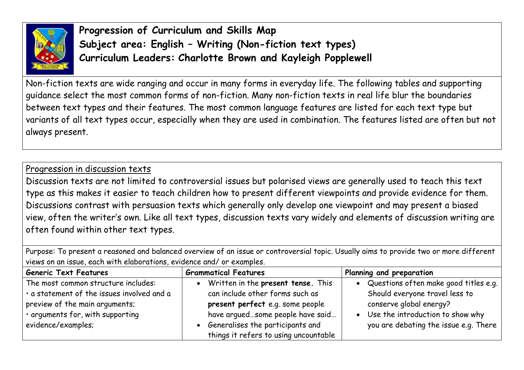

**Progression of Curriculum and Skills Map Subject area: English – Writing (Non-fiction text types) Curriculum Leaders: Charlotte Brown and Kayleigh Popplewell**

Non-fiction texts are wide ranging and occur in many forms in everyday life. The following tables and supporting guidance select the most common forms of non-fiction. Many non-fiction texts in real life blur the boundaries between text types and their features. The most common language features are listed for each text type but variants of all text types occur, especially when they are used in combination. The features listed are often but not always present.

Progression in discussion texts

Discussion texts are not limited to controversial issues but polarised views are generally used to teach this text type as this makes it easier to teach children how to present different viewpoints and provide evidence for them. Discussions contrast with persuasion texts which generally only develop one viewpoint and may present a biased view, often the writer's own. Like all text types, discussion texts vary widely and elements of discussion writing are often found within other text types.

Purpose: To present a reasoned and balanced overview of an issue or controversial topic. Usually aims to provide two or more different views on an issue, each with elaborations, evidence and/ or examples.

| <b>Generic Text Features</b>                      | <b>Grammatical Features</b>           | Planning and preparation                |
|---------------------------------------------------|---------------------------------------|-----------------------------------------|
| The most common structure includes:               | Written in the present tense. This    | • Questions often make good titles e.g. |
| $ \cdot$ a statement of the issues involved and a | can include other forms such as       | Should everyone travel less to          |
| preview of the main arguments;                    | present perfect e.g. some people      | conserve global energy?                 |
| $\cdot$ arguments for, with supporting            | have arguedsome people have said      | • Use the introduction to show why      |
| evidence/examples;                                | Generalises the participants and      | you are debating the issue e.g. There   |
|                                                   | things it refers to using uncountable |                                         |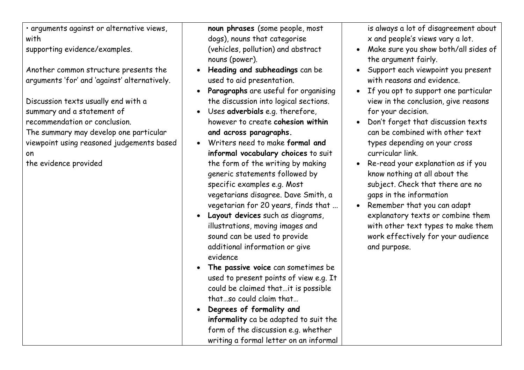• arguments against or alternative views, with

supporting evidence/examples.

Another common structure presents the arguments 'for' and 'against' alternatively.

Discussion texts usually end with a summary and a statement of recommendation or conclusion.

The summary may develop one particular viewpoint using reasoned judgements based on

the evidence provided

**noun phrases** (some people, most dogs), nouns that categorise (vehicles, pollution) and abstract nouns (power).

- **Heading and subheadings** can be used to aid presentation.
- **Paragraphs** are useful for organising the discussion into logical sections.
- Uses **adverbials** e.g. therefore, however to create **cohesion within and across paragraphs.**
- Writers need to make **formal and informal vocabulary choices** to suit the form of the writing by making generic statements followed by specific examples e.g. Most vegetarians disagree. Dave Smith, a vegetarian for 20 years, finds that ...
- **Layout devices** such as diagrams, illustrations, moving images and sound can be used to provide additional information or give evidence
- **The passive voice** can sometimes be used to present points of view e.g. It could be claimed that…it is possible that…so could claim that…
- **Degrees of formality and informality** ca be adapted to suit the form of the discussion e.g. whether writing a formal letter on an informal

is always a lot of disagreement about x and people's views vary a lot.

- Make sure you show both/all sides of the argument fairly.
- Support each viewpoint you present with reasons and evidence.
- If you opt to support one particular view in the conclusion, give reasons for your decision.
- Don't forget that discussion texts can be combined with other text types depending on your cross curricular link.
- Re-read your explanation as if you know nothing at all about the subject. Check that there are no gaps in the information
- Remember that you can adapt explanatory texts or combine them with other text types to make them work effectively for your audience and purpose.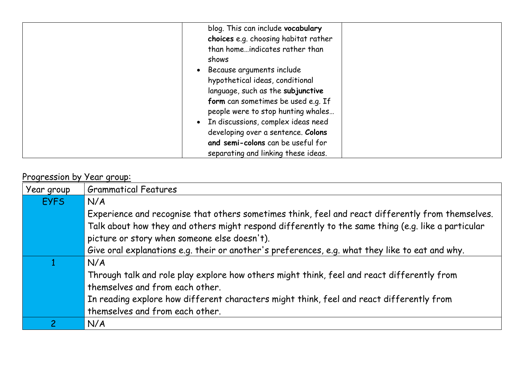| blog. This can include vocabulary<br>choices e.g. choosing habitat rather<br>than homeindicates rather than<br>shows<br>• Because arguments include<br>hypothetical ideas, conditional<br>language, such as the subjunctive<br>form can sometimes be used e.g. If<br>people were to stop hunting whales<br>• In discussions, complex ideas need<br>developing over a sentence. Colons<br>and semi-colons can be useful for |  |
|----------------------------------------------------------------------------------------------------------------------------------------------------------------------------------------------------------------------------------------------------------------------------------------------------------------------------------------------------------------------------------------------------------------------------|--|
| separating and linking these ideas.                                                                                                                                                                                                                                                                                                                                                                                        |  |

| $\frac{1}{2}$<br>Year group | <b>Grammatical Features</b>                                                                        |
|-----------------------------|----------------------------------------------------------------------------------------------------|
| <b>EYFS</b>                 | N/A                                                                                                |
|                             | Experience and recognise that others sometimes think, feel and react differently from themselves.  |
|                             | Talk about how they and others might respond differently to the same thing (e.g. like a particular |
|                             | picture or story when someone else doesn't).                                                       |
|                             | Give oral explanations e.g. their or another's preferences, e.g. what they like to eat and why.    |
|                             | N/A                                                                                                |
|                             | Through talk and role play explore how others might think, feel and react differently from         |
|                             | themselves and from each other.                                                                    |
|                             | In reading explore how different characters might think, feel and react differently from           |
|                             | themselves and from each other.                                                                    |
|                             | N/A                                                                                                |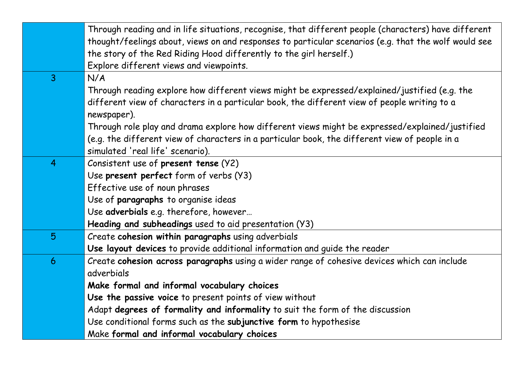|                 | Through reading and in life situations, recognise, that different people (characters) have different        |
|-----------------|-------------------------------------------------------------------------------------------------------------|
|                 | thought/feelings about, views on and responses to particular scenarios (e.g. that the wolf would see        |
|                 | the story of the Red Riding Hood differently to the girl herself.)                                          |
|                 | Explore different views and viewpoints.                                                                     |
| $\overline{3}$  | N/A                                                                                                         |
|                 | Through reading explore how different views might be expressed/explained/justified (e.g. the                |
|                 | different view of characters in a particular book, the different view of people writing to a<br>newspaper). |
|                 | Through role play and drama explore how different views might be expressed/explained/justified              |
|                 | (e.g. the different view of characters in a particular book, the different view of people in a              |
|                 | simulated 'real life' scenario).                                                                            |
| 4               | Consistent use of present tense (Y2)                                                                        |
|                 | Use present perfect form of verbs (Y3)                                                                      |
|                 | Effective use of noun phrases                                                                               |
|                 | Use of paragraphs to organise ideas                                                                         |
|                 | Use adverbials e.g. therefore, however                                                                      |
|                 | Heading and subheadings used to aid presentation (Y3)                                                       |
| $5\overline{)}$ | Create cohesion within paragraphs using adverbials                                                          |
|                 | Use layout devices to provide additional information and guide the reader                                   |
| 6               | Create cohesion across paragraphs using a wider range of cohesive devices which can include                 |
|                 | adverbials                                                                                                  |
|                 | Make formal and informal vocabulary choices                                                                 |
|                 | Use the passive voice to present points of view without                                                     |
|                 | Adapt degrees of formality and informality to suit the form of the discussion                               |
|                 | Use conditional forms such as the subjunctive form to hypothesise                                           |
|                 | Make formal and informal vocabulary choices                                                                 |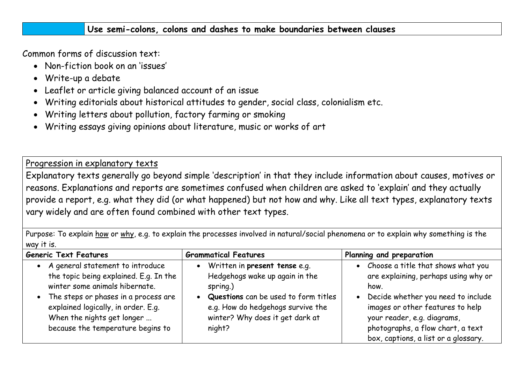Common forms of discussion text:

- Non-fiction book on an 'issues'
- Write-up a debate
- Leaflet or article giving balanced account of an issue
- Writing editorials about historical attitudes to gender, social class, colonialism etc.
- Writing letters about pollution, factory farming or smoking
- Writing essays giving opinions about literature, music or works of art

### Progression in explanatory texts

Explanatory texts generally go beyond simple 'description' in that they include information about causes, motives or reasons. Explanations and reports are sometimes confused when children are asked to 'explain' and they actually provide a report, e.g. what they did (or what happened) but not how and why. Like all text types, explanatory texts vary widely and are often found combined with other text types.

| $\mathbf{v}$                                                                                                                                                                                                                                                       |                                                                                                                                                                                                           |                                                                                                                                                                                                                                                                              |
|--------------------------------------------------------------------------------------------------------------------------------------------------------------------------------------------------------------------------------------------------------------------|-----------------------------------------------------------------------------------------------------------------------------------------------------------------------------------------------------------|------------------------------------------------------------------------------------------------------------------------------------------------------------------------------------------------------------------------------------------------------------------------------|
| <b>Generic Text Features</b>                                                                                                                                                                                                                                       | <b>Grammatical Features</b>                                                                                                                                                                               | Planning and preparation                                                                                                                                                                                                                                                     |
| • A general statement to introduce<br>the topic being explained. E.g. In the<br>winter some animals hibernate.<br>• The steps or phases in a process are<br>explained logically, in order. E.g.<br>When the nights get longer<br>because the temperature begins to | • Written in present tense e.g.<br>Hedgehogs wake up again in the<br>spring.)<br>• Questions can be used to form titles<br>e.g. How do hedgehogs survive the<br>winter? Why does it get dark at<br>night? | • Choose a title that shows what you<br>are explaining, perhaps using why or<br>how.<br>• Decide whether you need to include<br>images or other features to help<br>your reader, e.g. diagrams,<br>photographs, a flow chart, a text<br>box, captions, a list or a glossary. |

Purpose: To explain how or why, e.g. to explain the processes involved in natural/social phenomena or to explain why something is the way it is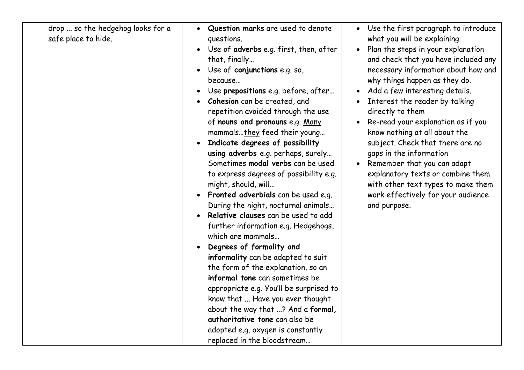| drop  so the hedgehog looks for a<br>safe place to hide. | • Question marks are used to denote<br>questions.<br>Use of adverbs e.g. first, then, after<br>$\bullet$<br>that, finally<br>Use of conjunctions e.g. so,<br>because<br>Use prepositions e.g. before, after<br>Cohesion can be created, and<br>repetition avoided through the use<br>of nouns and pronouns e.g. Many<br>mammalsthey feed their young<br>Indicate degrees of possibility<br>using adverbs e.g. perhaps, surely<br>Sometimes modal verbs can be used<br>to express degrees of possibility e.g.<br>might, should, will<br>Fronted adverbials can be used e.g.<br>During the night, nocturnal animals<br>Relative clauses can be used to add<br>further information e.g. Hedgehogs,<br>which are mammals<br>Degrees of formality and<br>informality can be adapted to suit<br>the form of the explanation, so an<br>informal tone can sometimes be<br>appropriate e.g. You'll be surprised to<br>know that  Have you ever thought<br>about the way that ? And a formal,<br>authoritative tone can also be<br>adopted e.g. oxygen is constantly | • Use the first paragraph to introduce<br>what you will be explaining.<br>Plan the steps in your explanation<br>and check that you have included any<br>necessary information about how and<br>why things happen as they do.<br>Add a few interesting details.<br>Interest the reader by talking<br>directly to them<br>Re-read your explanation as if you<br>know nothing at all about the<br>subject. Check that there are no<br>gaps in the information<br>Remember that you can adapt<br>explanatory texts or combine them<br>with other text types to make them<br>work effectively for your audience<br>and purpose. |
|----------------------------------------------------------|------------------------------------------------------------------------------------------------------------------------------------------------------------------------------------------------------------------------------------------------------------------------------------------------------------------------------------------------------------------------------------------------------------------------------------------------------------------------------------------------------------------------------------------------------------------------------------------------------------------------------------------------------------------------------------------------------------------------------------------------------------------------------------------------------------------------------------------------------------------------------------------------------------------------------------------------------------------------------------------------------------------------------------------------------------|----------------------------------------------------------------------------------------------------------------------------------------------------------------------------------------------------------------------------------------------------------------------------------------------------------------------------------------------------------------------------------------------------------------------------------------------------------------------------------------------------------------------------------------------------------------------------------------------------------------------------|
|----------------------------------------------------------|------------------------------------------------------------------------------------------------------------------------------------------------------------------------------------------------------------------------------------------------------------------------------------------------------------------------------------------------------------------------------------------------------------------------------------------------------------------------------------------------------------------------------------------------------------------------------------------------------------------------------------------------------------------------------------------------------------------------------------------------------------------------------------------------------------------------------------------------------------------------------------------------------------------------------------------------------------------------------------------------------------------------------------------------------------|----------------------------------------------------------------------------------------------------------------------------------------------------------------------------------------------------------------------------------------------------------------------------------------------------------------------------------------------------------------------------------------------------------------------------------------------------------------------------------------------------------------------------------------------------------------------------------------------------------------------------|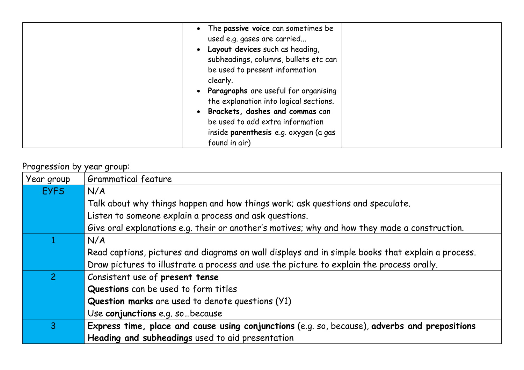| • The passive voice can sometimes be<br>used e.g. gases are carried<br>• Layout devices such as heading,<br>subheadings, columns, bullets etc can<br>be used to present information<br>clearly.<br>• Paragraphs are useful for organising<br>the explanation into logical sections.<br>· Brackets, dashes and commas can<br>be used to add extra information<br>inside parenthesis e.g. oxygen (a gas |  |
|-------------------------------------------------------------------------------------------------------------------------------------------------------------------------------------------------------------------------------------------------------------------------------------------------------------------------------------------------------------------------------------------------------|--|
| found in air)                                                                                                                                                                                                                                                                                                                                                                                         |  |

| Year group     | <b>Grammatical feature</b>                                                                        |
|----------------|---------------------------------------------------------------------------------------------------|
| <b>EYFS</b>    | N/A                                                                                               |
|                | Talk about why things happen and how things work; ask questions and speculate.                    |
|                | Listen to someone explain a process and ask questions.                                            |
|                | Give oral explanations e.g. their or another's motives; why and how they made a construction.     |
|                | N/A                                                                                               |
|                | Read captions, pictures and diagrams on wall displays and in simple books that explain a process. |
|                | Draw pictures to illustrate a process and use the picture to explain the process orally.          |
| $\overline{2}$ | Consistent use of present tense                                                                   |
|                | Questions can be used to form titles                                                              |
|                | Question marks are used to denote questions (Y1)                                                  |
|                | Use conjunctions e.g. sobecause                                                                   |
| 3              | Express time, place and cause using conjunctions (e.g. so, because), adverbs and prepositions     |
|                | Heading and subheadings used to aid presentation                                                  |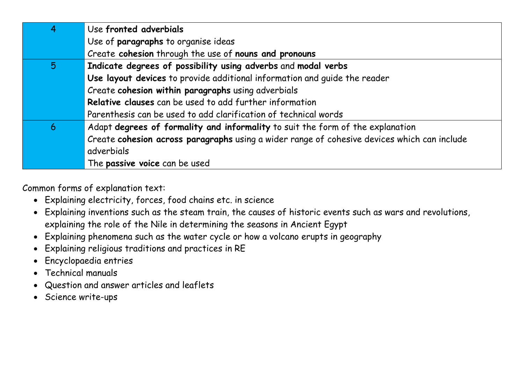| $\overline{4}$ | Use fronted adverbials                                                                      |
|----------------|---------------------------------------------------------------------------------------------|
|                | Use of paragraphs to organise ideas                                                         |
|                | Create cohesion through the use of nouns and pronouns                                       |
| 5 <sup>5</sup> | Indicate degrees of possibility using adverbs and modal verbs                               |
|                | Use layout devices to provide additional information and quide the reader                   |
|                | Create cohesion within paragraphs using adverbials                                          |
|                | Relative clauses can be used to add further information                                     |
|                | Parenthesis can be used to add clarification of technical words                             |
| 6 <sup>1</sup> | Adapt degrees of formality and informality to suit the form of the explanation              |
|                | Create cohesion across paragraphs using a wider range of cohesive devices which can include |
|                | adverbials                                                                                  |
|                | The passive voice can be used                                                               |

Common forms of explanation text:

- Explaining electricity, forces, food chains etc. in science
- Explaining inventions such as the steam train, the causes of historic events such as wars and revolutions, explaining the role of the Nile in determining the seasons in Ancient Egypt
- Explaining phenomena such as the water cycle or how a volcano erupts in geography
- Explaining religious traditions and practices in RE
- Encyclopaedia entries
- Technical manuals
- Question and answer articles and leaflets
- Science write-ups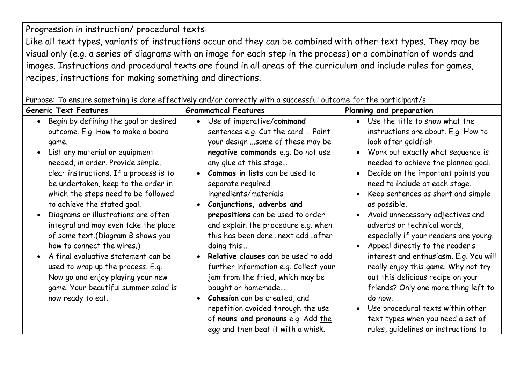## Progression in instruction/ procedural texts:

Like all text types, variants of instructions occur and they can be combined with other text types. They may be visual only (e.g. a series of diagrams with an image for each step in the process) or a combination of words and images. Instructions and procedural texts are found in all areas of the curriculum and include rules for games, recipes, instructions for making something and directions.

Purpose: To ensure something is done effectively and/or correctly with a successful outcome for the participant/s Generic Text Features **Grammatical Features** Planning and preparation • Begin by defining the goal or desired outcome. E.g. How to make a board game. • List any material or equipment needed, in order. Provide simple, clear instructions. If a process is to be undertaken, keep to the order in which the steps need to be followed to achieve the stated goal. • Diagrams or illustrations are often integral and may even take the place of some text.(Diagram B shows you how to connect the wires.) • A final evaluative statement can be used to wrap up the process. E.g. Now go and enjoy playing your new game. Your beautiful summer salad is now ready to eat. • Use of imperative/**command**  sentences e.g. Cut the card ... Paint your design ...some of these may be **negative commands** e.g. Do not use any glue at this stage… • **Commas in lists** can be used to separate required ingredients/materials • **Conjunctions, adverbs and prepositions** can be used to order and explain the procedure e.g. when this has been done…next add…after doing this… • **Relative clauses** can be used to add further information e.g. Collect your jam from the fried, which may be bought or homemade… • **Cohesion** can be created, and repetition avoided through the use of **nouns and pronouns** e.g. Add the egg and then beat it with a whisk. • Use the title to show what the instructions are about. E.g. How to look after goldfish. • Work out exactly what sequence is needed to achieve the planned goal. • Decide on the important points you need to include at each stage. • Keep sentences as short and simple as possible. • Avoid unnecessary adjectives and adverbs or technical words, especially if your readers are young. • Appeal directly to the reader's interest and enthusiasm. E.g. You will really enjoy this game. Why not try out this delicious recipe on your friends? Only one more thing left to do now. Use procedural texts within other text types when you need a set of rules, guidelines or instructions to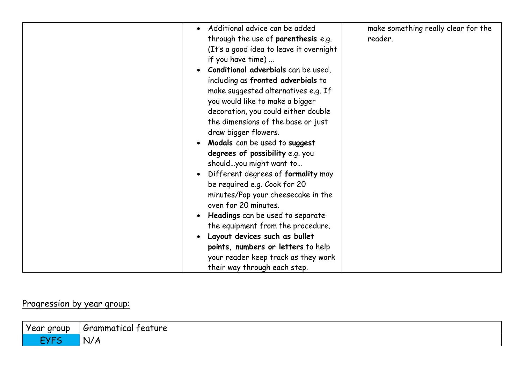| Additional advice can be added<br>$\bullet$<br>through the use of parenthesis e.g.<br>(It's a good idea to leave it overnight<br>if you have time)<br>Conditional adverbials can be used,<br>including as fronted adverbials to<br>make suggested alternatives e.g. If<br>you would like to make a bigger<br>decoration, you could either double | make something really clear for the<br>reader. |
|--------------------------------------------------------------------------------------------------------------------------------------------------------------------------------------------------------------------------------------------------------------------------------------------------------------------------------------------------|------------------------------------------------|
| the dimensions of the base or just<br>draw bigger flowers.                                                                                                                                                                                                                                                                                       |                                                |
| Modals can be used to suggest<br>$\bullet$                                                                                                                                                                                                                                                                                                       |                                                |
| degrees of possibility e.g. you<br>shouldyou might want to                                                                                                                                                                                                                                                                                       |                                                |
| Different degrees of formality may<br>$\bullet$<br>be required e.g. Cook for 20                                                                                                                                                                                                                                                                  |                                                |
| minutes/Pop your cheesecake in the<br>oven for 20 minutes.                                                                                                                                                                                                                                                                                       |                                                |
| Headings can be used to separate<br>the equipment from the procedure.                                                                                                                                                                                                                                                                            |                                                |
| Layout devices such as bullet<br>$\bullet$                                                                                                                                                                                                                                                                                                       |                                                |
| points, numbers or letters to help<br>your reader keep track as they work<br>their way through each step.                                                                                                                                                                                                                                        |                                                |

| ``<br>Vann<br>group<br>cui | teature<br>Grammatical |
|----------------------------|------------------------|
| .                          | N/r                    |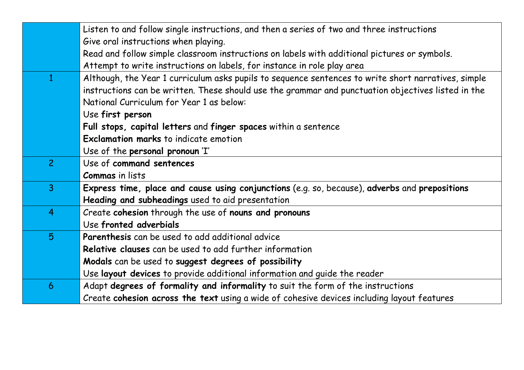|                | Listen to and follow single instructions, and then a series of two and three instructions           |
|----------------|-----------------------------------------------------------------------------------------------------|
|                | Give oral instructions when playing.                                                                |
|                | Read and follow simple classroom instructions on labels with additional pictures or symbols.        |
|                | Attempt to write instructions on labels, for instance in role play area                             |
|                | Although, the Year 1 curriculum asks pupils to sequence sentences to write short narratives, simple |
|                | instructions can be written. These should use the grammar and punctuation objectives listed in the  |
|                | National Curriculum for Year 1 as below:                                                            |
|                | Use first person                                                                                    |
|                | Full stops, capital letters and finger spaces within a sentence                                     |
|                | Exclamation marks to indicate emotion                                                               |
|                | Use of the personal pronoun 'I'                                                                     |
| $\overline{2}$ | Use of command sentences                                                                            |
|                | <b>Commas</b> in lists                                                                              |
| 3 <sup>1</sup> | Express time, place and cause using conjunctions (e.g. so, because), adverbs and prepositions       |
|                | Heading and subheadings used to aid presentation                                                    |
| $\overline{4}$ | Create cohesion through the use of nouns and pronouns                                               |
|                | Use fronted adverbials                                                                              |
| 5              | <b>Parenthesis</b> can be used to add additional advice                                             |
|                | Relative clauses can be used to add further information                                             |
|                | Modals can be used to suggest degrees of possibility                                                |
|                | Use layout devices to provide additional information and quide the reader                           |
| 6              | Adapt degrees of formality and informality to suit the form of the instructions                     |
|                | Create cohesion across the text using a wide of cohesive devices including layout features          |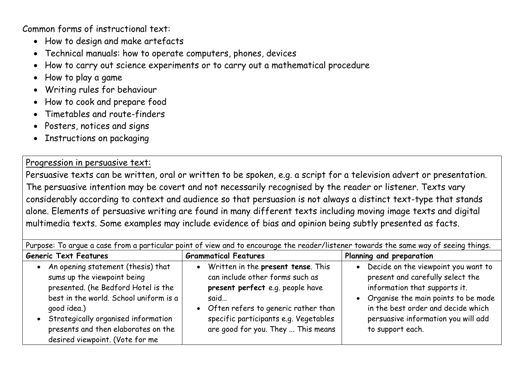Common forms of instructional text:

- How to design and make artefacts
- Technical manuals: how to operate computers, phones, devices
- How to carry out science experiments or to carry out a mathematical procedure
- How to play a game
- Writing rules for behaviour
- How to cook and prepare food
- Timetables and route-finders
- Posters, notices and signs
- Instructions on packaging

#### Progression in persuasive text:

Persuasive texts can be written, oral or written to be spoken, e.g. a script for a television advert or presentation. The persuasive intention may be covert and not necessarily recognised by the reader or listener. Texts vary considerably according to context and audience so that persuasion is not always a distinct text-type that stands alone. Elements of persuasive writing are found in many different texts including moving image texts and digital multimedia texts. Some examples may include evidence of bias and opinion being subtly presented as facts.

| Purpose: To argue a case from a particular point of view and to encourage the reader/listener towards the same way of seeing things.                                                                                                                                                   |                                                                                                                                                                                                                                             |                                                                                                                                                                                                                                                      |
|----------------------------------------------------------------------------------------------------------------------------------------------------------------------------------------------------------------------------------------------------------------------------------------|---------------------------------------------------------------------------------------------------------------------------------------------------------------------------------------------------------------------------------------------|------------------------------------------------------------------------------------------------------------------------------------------------------------------------------------------------------------------------------------------------------|
| <b>Generic Text Features</b>                                                                                                                                                                                                                                                           | <b>Grammatical Features</b>                                                                                                                                                                                                                 | Planning and preparation                                                                                                                                                                                                                             |
| • An opening statement (thesis) that<br>sums up the viewpoint being<br>presented. (he Bedford Hotel is the<br>best in the world. School uniform is a<br>good idea.)<br>• Strategically organised information<br>presents and then elaborates on the<br>desired viewpoint. (Vote for me | • Written in the present tense. This<br>can include other forms such as<br>present perfect e.g. people have<br>said<br>• Often refers to generic rather than<br>specific participants e.g. Vegetables<br>are good for you. They  This means | • Decide on the viewpoint you want to<br>present and carefully select the<br>information that supports it.<br>• Organise the main points to be made<br>in the best order and decide which<br>persuasive information you will add<br>to support each. |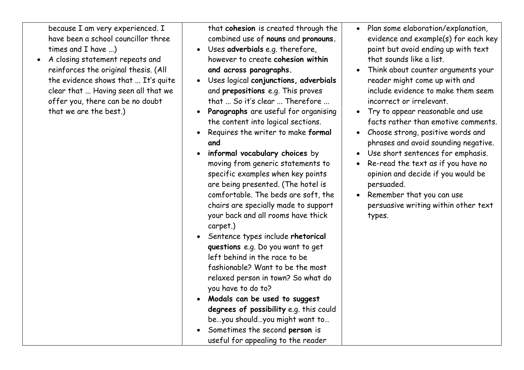because I am very experienced. I have been a school councillor three times and I have ...)

• A closing statement repeats and reinforces the original thesis. (All the evidence shows that ... It's quite clear that ... Having seen all that we offer you, there can be no doubt that we are the best.)

that **cohesion** is created through the combined use of **nouns** and **pronouns.**

- Uses **adverbials** e.g. therefore, however to create **cohesion within and across paragraphs.**
- Uses logical **conjunctions, adverbials**  and **prepositions** e.g. This proves that ... So it's clear ... Therefore ...
- **Paragraphs** are useful for organising the content into logical sections.
- Requires the writer to make **formal and**
- **informal vocabulary choices** by moving from generic statements to specific examples when key points are being presented. (The hotel is comfortable. The beds are soft, the chairs are specially made to support your back and all rooms have thick carpet.)
- Sentence types include **rhetorical questions** e.g. Do you want to get left behind in the race to be fashionable? Want to be the most relaxed person in town? So what do you have to do to?
- **Modals can be used to suggest degrees of possibility** e.g. this could be…you should…you might want to…
- Sometimes the second **person** is useful for appealing to the reader
- Plan some elaboration/explanation, evidence and example(s) for each key point but avoid ending up with text that sounds like a list.
- Think about counter arguments your reader might come up with and include evidence to make them seem incorrect or irrelevant.
- Try to appear reasonable and use facts rather than emotive comments.
- Choose strong, positive words and phrases and avoid sounding negative.
- Use short sentences for emphasis.
- Re-read the text as if you have no opinion and decide if you would be persuaded.
- Remember that you can use persuasive writing within other text types.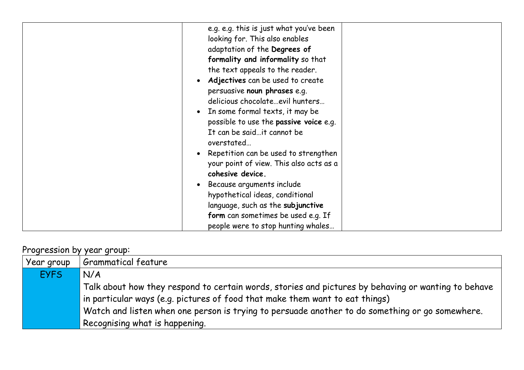| e.g. e.g. this is just what you've been<br>looking for. This also enables<br>adaptation of the Degrees of<br>formality and informality so that<br>the text appeals to the reader.<br>Adjectives can be used to create<br>persuasive noun phrases e.g.<br>delicious chocolateevil hunters<br>• In some formal texts, it may be<br>possible to use the passive voice e.g.<br>It can be saidit cannot be<br>overstated<br>Repetition can be used to strengthen<br>your point of view. This also acts as a<br>cohesive device.<br>Because arguments include<br>$\bullet$<br>hypothetical ideas, conditional<br>language, such as the subjunctive |  |
|----------------------------------------------------------------------------------------------------------------------------------------------------------------------------------------------------------------------------------------------------------------------------------------------------------------------------------------------------------------------------------------------------------------------------------------------------------------------------------------------------------------------------------------------------------------------------------------------------------------------------------------------|--|
|                                                                                                                                                                                                                                                                                                                                                                                                                                                                                                                                                                                                                                              |  |
| form can sometimes be used e.g. If<br>people were to stop hunting whales                                                                                                                                                                                                                                                                                                                                                                                                                                                                                                                                                                     |  |

| Year group  | <b>Grammatical feature</b>                                                                          |
|-------------|-----------------------------------------------------------------------------------------------------|
| <b>EYFS</b> | N/A                                                                                                 |
|             | Talk about how they respond to certain words, stories and pictures by behaving or wanting to behave |
|             | in particular ways (e.g. pictures of food that make them want to eat things)                        |
|             | Watch and listen when one person is trying to persuade another to do something or go somewhere.     |
|             | Recognising what is happening.                                                                      |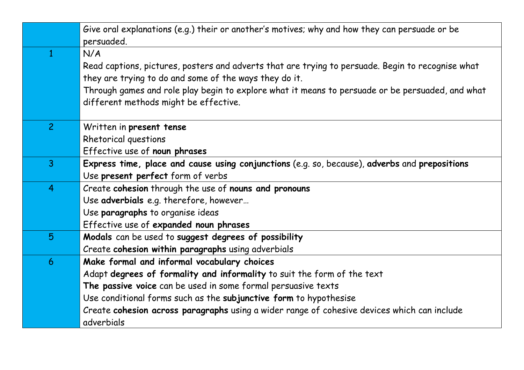|                 | Give oral explanations (e.g.) their or another's motives; why and how they can persuade or be     |
|-----------------|---------------------------------------------------------------------------------------------------|
|                 | persuaded.                                                                                        |
| $\mathbf{1}$    | N/A                                                                                               |
|                 | Read captions, pictures, posters and adverts that are trying to persuade. Begin to recognise what |
|                 | they are trying to do and some of the ways they do it.                                            |
|                 | Through games and role play begin to explore what it means to persuade or be persuaded, and what  |
|                 | different methods might be effective.                                                             |
| $\overline{2}$  | Written in present tense                                                                          |
|                 | Rhetorical questions                                                                              |
|                 | Effective use of noun phrases                                                                     |
| $\overline{3}$  | Express time, place and cause using conjunctions (e.g. so, because), adverbs and prepositions     |
|                 | Use present perfect form of verbs                                                                 |
| 4               | Create cohesion through the use of nouns and pronouns                                             |
|                 | Use adverbials e.g. therefore, however                                                            |
|                 | Use paragraphs to organise ideas                                                                  |
|                 | Effective use of expanded noun phrases                                                            |
| $5\overline{)}$ | Modals can be used to suggest degrees of possibility                                              |
|                 | Create cohesion within paragraphs using adverbials                                                |
| 6               | Make formal and informal vocabulary choices                                                       |
|                 | Adapt degrees of formality and informality to suit the form of the text                           |
|                 | The passive voice can be used in some formal persuasive texts                                     |
|                 | Use conditional forms such as the subjunctive form to hypothesise                                 |
|                 | Create cohesion across paragraphs using a wider range of cohesive devices which can include       |
|                 | adverbials                                                                                        |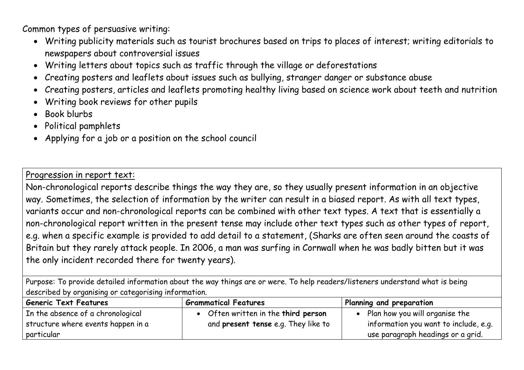Common types of persuasive writing:

- Writing publicity materials such as tourist brochures based on trips to places of interest; writing editorials to newspapers about controversial issues
- Writing letters about topics such as traffic through the village or deforestations
- Creating posters and leaflets about issues such as bullying, stranger danger or substance abuse
- Creating posters, articles and leaflets promoting healthy living based on science work about teeth and nutrition
- Writing book reviews for other pupils
- Book blurbs
- Political pamphlets
- Applying for a job or a position on the school council

Progression in report text:

Non-chronological reports describe things the way they are, so they usually present information in an objective way. Sometimes, the selection of information by the writer can result in a biased report. As with all text types, variants occur and non-chronological reports can be combined with other text types. A text that is essentially a non-chronological report written in the present tense may include other text types such as other types of report, e.g. when a specific example is provided to add detail to a statement, (Sharks are often seen around the coasts of Britain but they rarely attack people. In 2006, a man was surfing in Cornwall when he was badly bitten but it was the only incident recorded there for twenty years).

Purpose: To provide detailed information about the way things are or were. To help readers/listeners understand what is being described by organising or categorising information.

| Generic Text Features              | <b>Grammatical Features</b>              | Planning and preparation              |
|------------------------------------|------------------------------------------|---------------------------------------|
| In the absence of a chronological  | Often written in the <b>third person</b> | • Plan how you will organise the      |
| structure where events happen in a | and present tense e.g. They like to      | information you want to include, e.g. |
| particular                         |                                          | use paragraph headings or a grid.     |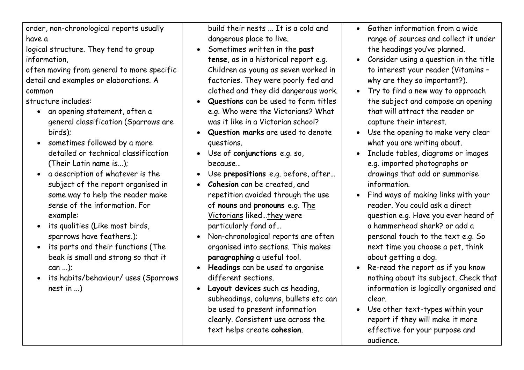order, non-chronological reports usually have a

logical structure. They tend to group information,

often moving from general to more specific detail and examples or elaborations. A common

structure includes:

- an opening statement, often a general classification (Sparrows are birds);
- sometimes followed by a more detailed or technical classification (Their Latin name is...);
- a description of whatever is the subject of the report organised in some way to help the reader make sense of the information. For example:
- its qualities (Like most birds, sparrows have feathers.);
- its parts and their functions (The beak is small and strong so that it can ...);
- its habits/behaviour/ uses (Sparrows nest in ...)

build their nests ... It is a cold and dangerous place to live.

- Sometimes written in the **past tense**, as in a historical report e.g. Children as young as seven worked in factories. They were poorly fed and clothed and they did dangerous work.
- **Questions** can be used to form titles e.g. Who were the Victorians? What was it like in a Victorian school?
- **Question marks** are used to denote questions.
- Use of **conjunctions** e.g. so, because…
- Use **prepositions** e.g. before, after…
- **Cohesion** can be created, and repetition avoided through the use of **nouns** and **pronouns** e.g. The Victorians liked…they were particularly fond of…
- Non-chronological reports are often organised into sections. This makes **paragraphing** a useful tool.
- **Headings** can be used to organise different sections.
- **Layout devices** such as heading, subheadings, columns, bullets etc can be used to present information clearly. Consistent use across the text helps create **cohesion**.
- Gather information from a wide range of sources and collect it under the headings you've planned.
- Consider using a question in the title to interest your reader (Vitamins – why are they so important?).
- Try to find a new way to approach the subject and compose an opening that will attract the reader or capture their interest.
- Use the opening to make very clear what you are writing about.
- Include tables, diagrams or images e.g. imported photographs or drawings that add or summarise information.
- Find ways of making links with your reader. You could ask a direct question e.g. Have you ever heard of a hammerhead shark? or add a personal touch to the text e.g. So next time you choose a pet, think about getting a dog.
- Re-read the report as if you know nothing about its subject. Check that information is logically organised and clear.
- Use other text-types within your report if they will make it more effective for your purpose and audience.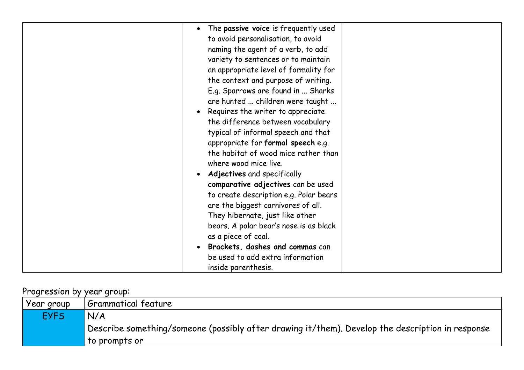| The passive voice is frequently used<br>$\bullet$ |  |
|---------------------------------------------------|--|
| to avoid personalisation, to avoid                |  |
| naming the agent of a verb, to add                |  |
| variety to sentences or to maintain               |  |
| an appropriate level of formality for             |  |
| the context and purpose of writing.               |  |
| E.g. Sparrows are found in  Sharks                |  |
| are hunted  children were taught                  |  |
| Requires the writer to appreciate                 |  |
| the difference between vocabulary                 |  |
| typical of informal speech and that               |  |
| appropriate for formal speech e.g.                |  |
| the habitat of wood mice rather than              |  |
| where wood mice live.                             |  |
| <b>Adjectives</b> and specifically                |  |
| comparative adjectives can be used                |  |
| to create description e.g. Polar bears            |  |
| are the biggest carnivores of all.                |  |
| They hibernate, just like other                   |  |
| bears. A polar bear's nose is as black            |  |
| as a piece of coal.                               |  |
| Brackets, dashes and commas can                   |  |
| be used to add extra information                  |  |
| inside parenthesis.                               |  |
|                                                   |  |

| Year group  | Grammatical feature                                                                                |
|-------------|----------------------------------------------------------------------------------------------------|
| <b>EYFS</b> | N/A                                                                                                |
|             | Describe something/someone (possibly after drawing it/them). Develop the description in response [ |
|             | to prompts or                                                                                      |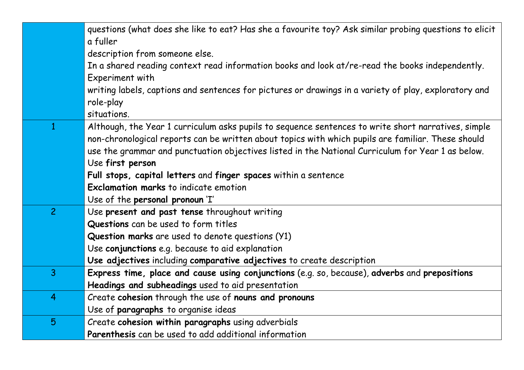|                 | questions (what does she like to eat? Has she a favourite toy? Ask similar probing questions to elicit |
|-----------------|--------------------------------------------------------------------------------------------------------|
|                 | a fuller                                                                                               |
|                 | description from someone else.                                                                         |
|                 | In a shared reading context read information books and look at/re-read the books independently.        |
|                 | Experiment with                                                                                        |
|                 | writing labels, captions and sentences for pictures or drawings in a variety of play, exploratory and  |
|                 | role-play                                                                                              |
|                 | situations.                                                                                            |
| 1               | Although, the Year 1 curriculum asks pupils to sequence sentences to write short narratives, simple    |
|                 | non-chronological reports can be written about topics with which pupils are familiar. These should     |
|                 | use the grammar and punctuation objectives listed in the National Curriculum for Year 1 as below.      |
|                 | Use first person                                                                                       |
|                 | Full stops, capital letters and finger spaces within a sentence                                        |
|                 | <b>Exclamation marks to indicate emotion</b>                                                           |
|                 | Use of the personal pronoun 'I'                                                                        |
| $\overline{2}$  | Use present and past tense throughout writing                                                          |
|                 | Questions can be used to form titles                                                                   |
|                 | Question marks are used to denote questions (Y1)                                                       |
|                 | Use conjunctions e.g. because to aid explanation                                                       |
|                 | Use adjectives including comparative adjectives to create description                                  |
| $\overline{3}$  | Express time, place and cause using conjunctions (e.g. so, because), adverbs and prepositions          |
|                 | Headings and subheadings used to aid presentation                                                      |
| $\overline{4}$  | Create cohesion through the use of nouns and pronouns                                                  |
|                 | Use of paragraphs to organise ideas                                                                    |
| $5\overline{)}$ | Create cohesion within paragraphs using adverbials                                                     |
|                 | Parenthesis can be used to add additional information                                                  |
|                 |                                                                                                        |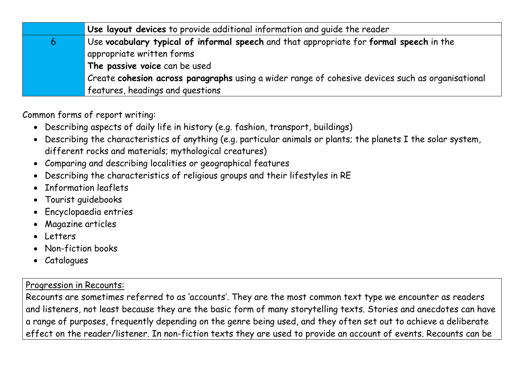|   | $\mathsf{I}$ Use layout devices to provide additional information and quide the reader           |
|---|--------------------------------------------------------------------------------------------------|
| 6 | Use vocabulary typical of informal speech and that appropriate for formal speech in the          |
|   | appropriate written forms                                                                        |
|   | The passive voice can be used                                                                    |
|   | Create cohesion across paragraphs using a wider range of cohesive devices such as organisational |
|   | features, headings and questions                                                                 |

Common forms of report writing:

- Describing aspects of daily life in history (e.g. fashion, transport, buildings)
- Describing the characteristics of anything (e.g. particular animals or plants; the planets I the solar system, different rocks and materials; mythological creatures)
- Comparing and describing localities or geographical features
- Describing the characteristics of religious groups and their lifestyles in RE
- Information leaflets
- Tourist guidebooks
- Encyclopaedia entries
- Magazine articles
- Letters
- Non-fiction books
- Catalogues

## Progression in Recounts:

Recounts are sometimes referred to as 'accounts'. They are the most common text type we encounter as readers and listeners, not least because they are the basic form of many storytelling texts. Stories and anecdotes can have a range of purposes, frequently depending on the genre being used, and they often set out to achieve a deliberate effect on the reader/listener. In non-fiction texts they are used to provide an account of events. Recounts can be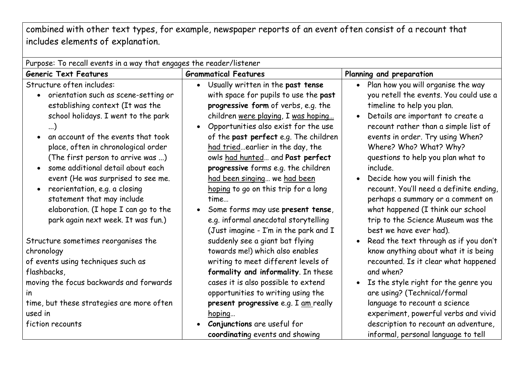combined with other text types, for example, newspaper reports of an event often consist of a recount that includes elements of explanation.

| Purpose: To recall events in a way that engages the reader/listener                                                                                                                                                                                                                                                                                                                                                                                                                                                                                                                                                                                                                                                              |                                                                                                                                                                                                                                                                                                                                                                                                                                                                                                                                                                                                                                                                                                                                                                                                                                                      |                                                                                                                                                                                                                                                                                                                                                                                                                                                                                                                                                                                                                                                                                                                                                                                                                                    |  |
|----------------------------------------------------------------------------------------------------------------------------------------------------------------------------------------------------------------------------------------------------------------------------------------------------------------------------------------------------------------------------------------------------------------------------------------------------------------------------------------------------------------------------------------------------------------------------------------------------------------------------------------------------------------------------------------------------------------------------------|------------------------------------------------------------------------------------------------------------------------------------------------------------------------------------------------------------------------------------------------------------------------------------------------------------------------------------------------------------------------------------------------------------------------------------------------------------------------------------------------------------------------------------------------------------------------------------------------------------------------------------------------------------------------------------------------------------------------------------------------------------------------------------------------------------------------------------------------------|------------------------------------------------------------------------------------------------------------------------------------------------------------------------------------------------------------------------------------------------------------------------------------------------------------------------------------------------------------------------------------------------------------------------------------------------------------------------------------------------------------------------------------------------------------------------------------------------------------------------------------------------------------------------------------------------------------------------------------------------------------------------------------------------------------------------------------|--|
| <b>Generic Text Features</b>                                                                                                                                                                                                                                                                                                                                                                                                                                                                                                                                                                                                                                                                                                     | <b>Grammatical Features</b>                                                                                                                                                                                                                                                                                                                                                                                                                                                                                                                                                                                                                                                                                                                                                                                                                          | Planning and preparation                                                                                                                                                                                                                                                                                                                                                                                                                                                                                                                                                                                                                                                                                                                                                                                                           |  |
| Structure often includes:<br>• orientation such as scene-setting or<br>establishing context (It was the<br>school holidays. I went to the park<br>$\ldots$<br>an account of the events that took<br>place, often in chronological order<br>(The first person to arrive was )<br>some additional detail about each<br>event (He was surprised to see me.<br>reorientation, e.g. a closing<br>$\bullet$<br>statement that may include<br>elaboration. (I hope I can go to the<br>park again next week. It was fun.)<br>Structure sometimes reorganises the<br>chronology<br>of events using techniques such as<br>flashbacks,<br>moving the focus backwards and forwards<br><i>in</i><br>time, but these strategies are more often | Usually written in the past tense<br>$\bullet$<br>with space for pupils to use the past<br>progressive form of verbs, e.g. the<br>children were playing, I was hoping<br>Opportunities also exist for the use<br>of the past perfect e.g. The children<br>had triedearlier in the day, the<br>owls had hunted and Past perfect<br>progressive forms e.g. the children<br>had been singing we had been<br>hoping to go on this trip for a long<br>time<br>Some forms may use present tense,<br>e.g. informal anecdotal storytelling<br>(Just imagine - I'm in the park and I<br>suddenly see a giant bat flying<br>towards me!) which also enables<br>writing to meet different levels of<br>formality and informality. In these<br>cases it is also possible to extend<br>opportunities to writing using the<br>present progressive e.g. I am really | Plan how you will organise the way<br>$\bullet$<br>you retell the events. You could use a<br>timeline to help you plan.<br>Details are important to create a<br>$\bullet$<br>recount rather than a simple list of<br>events in order. Try using When?<br>Where? Who? What? Why?<br>questions to help you plan what to<br>include.<br>Decide how you will finish the<br>recount. You'll need a definite ending,<br>perhaps a summary or a comment on<br>what happened (I think our school<br>trip to the Science Museum was the<br>best we have ever had).<br>Read the text through as if you don't<br>$\bullet$<br>know anything about what it is being<br>recounted. Is it clear what happened<br>and when?<br>Is the style right for the genre you<br>$\bullet$<br>are using? (Technical/formal<br>language to recount a science |  |
| used in<br>fiction recounts                                                                                                                                                                                                                                                                                                                                                                                                                                                                                                                                                                                                                                                                                                      | hoping<br>Conjunctions are useful for                                                                                                                                                                                                                                                                                                                                                                                                                                                                                                                                                                                                                                                                                                                                                                                                                | experiment, powerful verbs and vivid<br>description to recount an adventure,                                                                                                                                                                                                                                                                                                                                                                                                                                                                                                                                                                                                                                                                                                                                                       |  |
|                                                                                                                                                                                                                                                                                                                                                                                                                                                                                                                                                                                                                                                                                                                                  | coordinating events and showing                                                                                                                                                                                                                                                                                                                                                                                                                                                                                                                                                                                                                                                                                                                                                                                                                      | informal, personal language to tell                                                                                                                                                                                                                                                                                                                                                                                                                                                                                                                                                                                                                                                                                                                                                                                                |  |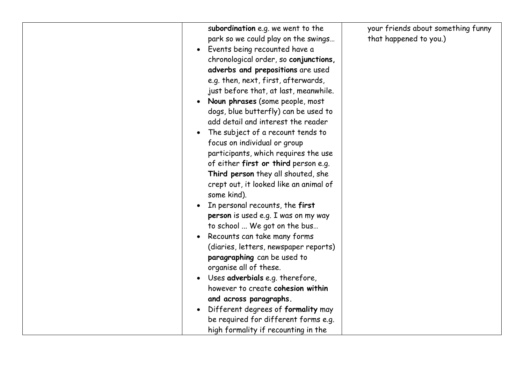|  | subordination e.g. we went to the<br>park so we could play on the swings<br>Events being recounted have a<br>$\bullet$<br>chronological order, so conjunctions,<br>adverbs and prepositions are used<br>e.g. then, next, first, afterwards,<br>just before that, at last, meanwhile.<br>Noun phrases (some people, most<br>dogs, blue butterfly) can be used to<br>add detail and interest the reader<br>The subject of a recount tends to<br>focus on individual or group<br>participants, which requires the use<br>of either first or third person e.g.<br>Third person they all shouted, she<br>crept out, it looked like an animal of<br>some kind).<br>In personal recounts, the first<br>person is used e.g. I was on my way<br>to school  We got on the bus<br>Recounts can take many forms<br>(diaries, letters, newspaper reports)<br>paragraphing can be used to<br>organise all of these.<br>Uses adverbials e.g. therefore,<br>$\bullet$<br>however to create cohesion within<br>and across paragraphs.<br>Different degrees of formality may<br>be required for different forms e.g.<br>high formality if recounting in the | your friends about something funny<br>that happened to you.) |
|--|-------------------------------------------------------------------------------------------------------------------------------------------------------------------------------------------------------------------------------------------------------------------------------------------------------------------------------------------------------------------------------------------------------------------------------------------------------------------------------------------------------------------------------------------------------------------------------------------------------------------------------------------------------------------------------------------------------------------------------------------------------------------------------------------------------------------------------------------------------------------------------------------------------------------------------------------------------------------------------------------------------------------------------------------------------------------------------------------------------------------------------------------|--------------------------------------------------------------|
|--|-------------------------------------------------------------------------------------------------------------------------------------------------------------------------------------------------------------------------------------------------------------------------------------------------------------------------------------------------------------------------------------------------------------------------------------------------------------------------------------------------------------------------------------------------------------------------------------------------------------------------------------------------------------------------------------------------------------------------------------------------------------------------------------------------------------------------------------------------------------------------------------------------------------------------------------------------------------------------------------------------------------------------------------------------------------------------------------------------------------------------------------------|--------------------------------------------------------------|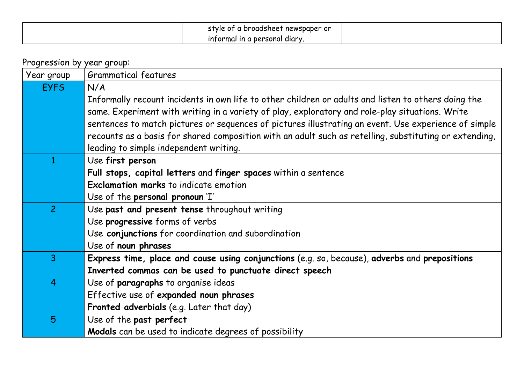| style of<br>i broadsheet newspaper or   |  |
|-----------------------------------------|--|
| i a personal diary.<br>.<br>formal in a |  |

| Year group     | <b>Grammatical features</b>                                                                            |
|----------------|--------------------------------------------------------------------------------------------------------|
| <b>EYFS</b>    | N/A                                                                                                    |
|                | Informally recount incidents in own life to other children or adults and listen to others doing the    |
|                | same. Experiment with writing in a variety of play, exploratory and role-play situations. Write        |
|                | sentences to match pictures or sequences of pictures illustrating an event. Use experience of simple   |
|                | recounts as a basis for shared composition with an adult such as retelling, substituting or extending, |
|                | leading to simple independent writing.                                                                 |
|                | Use first person                                                                                       |
|                | Full stops, capital letters and finger spaces within a sentence                                        |
|                | <b>Exclamation marks to indicate emotion</b>                                                           |
|                | Use of the personal pronoun 'I'                                                                        |
| $\overline{2}$ | Use past and present tense throughout writing                                                          |
|                | Use progressive forms of verbs                                                                         |
|                | Use conjunctions for coordination and subordination                                                    |
|                | Use of noun phrases                                                                                    |
| 3              | Express time, place and cause using conjunctions (e.g. so, because), adverbs and prepositions          |
|                | Inverted commas can be used to punctuate direct speech                                                 |
| 4              | Use of paragraphs to organise ideas                                                                    |
|                | Effective use of expanded noun phrases                                                                 |
|                | Fronted adverbials (e.g. Later that day)                                                               |
| 5              | Use of the past perfect                                                                                |
|                | <b>Modals</b> can be used to indicate degrees of possibility                                           |